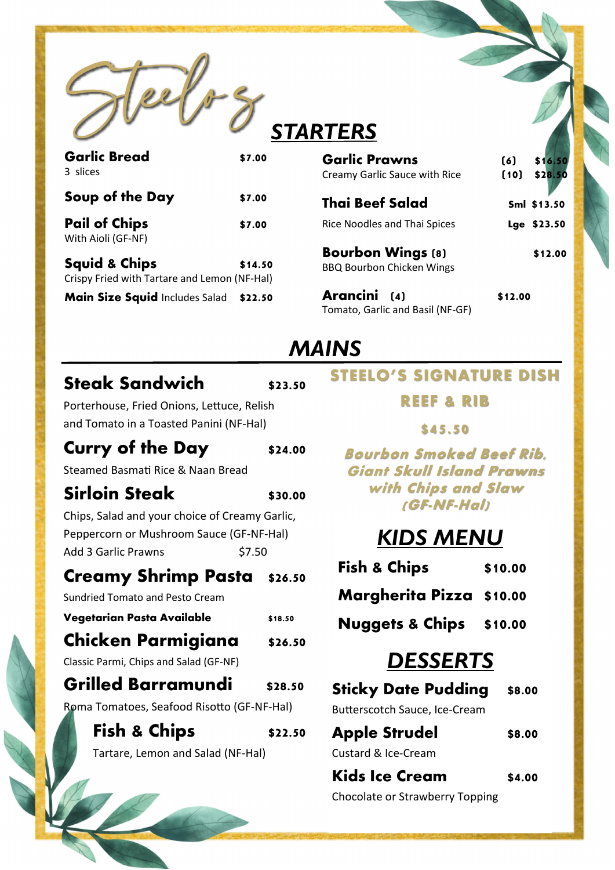

# **STARTERS**

| <b>Garlic Bread</b><br>3 slices                                          | \$7.00  |  |
|--------------------------------------------------------------------------|---------|--|
| Soup of the Day                                                          | \$7.00  |  |
| <b>Pail of Chips</b><br>With Aioli (GF-NF)                               | \$7.00  |  |
| <b>Squid &amp; Chips</b><br>Crispy Fried with Tartare and Lemon (NF-Hal) | \$14.50 |  |
| Main Size Squid Includes Salad                                           | \$22.50 |  |

| <b>Garlic Prawns</b>                                         | (6)  | \$16.50     |
|--------------------------------------------------------------|------|-------------|
| Creamy Garlic Sauce with Rice                                | (10) | \$28.50     |
| <b>Thai Beef Salad</b>                                       |      | Sml \$13.50 |
| Rice Noodles and Thai Spices                                 |      | Lge \$23.50 |
| <b>Bourbon Wings (8)</b><br><b>BBQ Bourbon Chicken Wings</b> |      | \$12.00     |
|                                                              |      |             |

**Arancini (4) \$12.00**  Tomato, Garlic and Basil (NF-GF)

## *MAINS*

### **Steak Sandwich \$23.50**

Porterhouse, Fried Onions, Lettuce, Relish and Tomato in a Toasted Panini (NF-Hal)

### **Curry of the Day** \$24.00

Steamed Basmati Rice & Naan Bread

### **Sirloin Steak \$30.00**

Chips, Salad and your choice of Creamy Garlic,

Peppercorn or Mushroom Sauce (GF-NF-Hal) Add 3 Garlic Prawns \$7.50

#### **Creamy Shrimp Pasta \$26.50**

Sundried Tomato and Pesto Cream

**Vegetarian Pasta Available \$18.50**

### **Chicken Parmigiana \$26.50**

Classic Parmi, Chips and Salad (GF-NF)

## **Grilled Barramundi \$28.50**

Roma Tomatoes, Seafood Risotto (GF-NF-Hal)

**Fish & Chips**  $$22.50$ 

Tartare, Lemon and Salad (NF-Hal)

## **STEELO'S SIGNATURE DISH**

#### **REEF & RIB**

#### **\$45.50**

**Bourbon Smoked Beef Rib, Giant Skull Island Prawns with Chips and Slaw (GF-NF-Hal)** 

# *KIDS MENU*

**Fish & Chips \$10.00**

## **Margherita Pizza \$10.00**

#### **Nuggets & Chips \$10.00**

# *DESSERTS*

**Sticky Date Pudding \$8.00** Butterscotch Sauce, Ice-Cream

**Apple Strudel \$8.00**  Custard & Ice-Cream

**Kids Ice Cream** \$4.00 Chocolate or Strawberry Topping